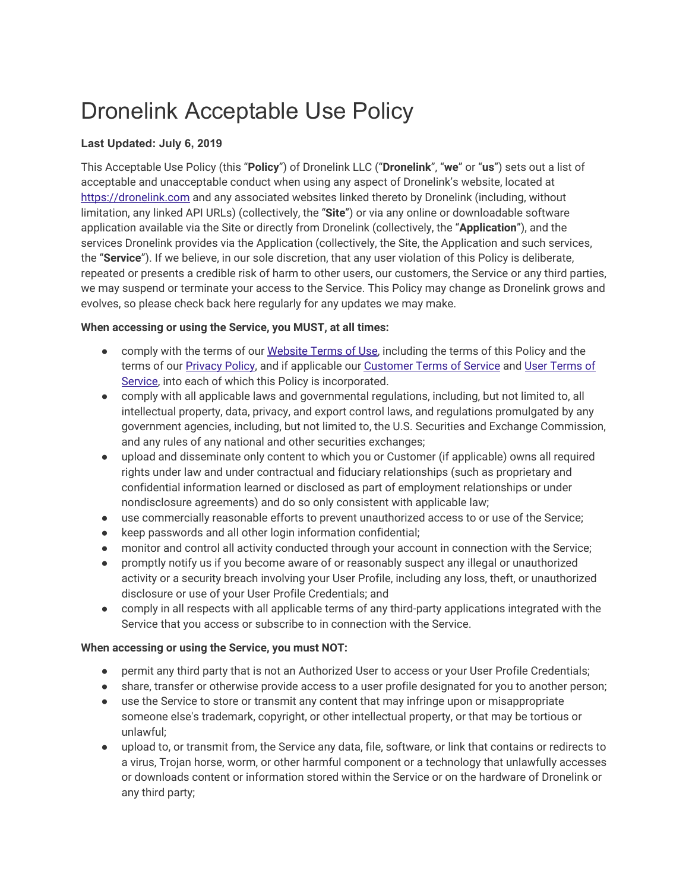# Dronelink Acceptable Use Policy

# **Last Updated: July 6, 2019**

This Acceptable Use Policy (this "**Policy**") of Dronelink LLC ("**Dronelink**", "**we**" or "**us**") sets out a list of acceptable and unacceptable conduct when using any aspect of Dronelink's website, located at [https://dronelink.com](https://dronelink.com/) and any associated websites linked thereto by Dronelink (including, without limitation, any linked API URLs) (collectively, the "**Site**") or via any online or downloadable software application available via the Site or directly from Dronelink (collectively, the "**Application**"), and the services Dronelink provides via the Application (collectively, the Site, the Application and such services, the "**Service**"). If we believe, in our sole discretion, that any user violation of this Policy is deliberate, repeated or presents a credible risk of harm to other users, our customers, the Service or any third parties, we may suspend or terminate your access to the Service. This Policy may change as Dronelink grows and evolves, so please check back here regularly for any updates we may make.

### **When accessing or using the Service, you MUST, at all times:**

- comply with the terms of our [Website](https://dronelink.com/website-terms) Terms of Use, including the terms of this Policy and the terms of our [Privacy](https://dronelink.com/privacy-policy) Policy, and if applicable our [Customer](https://dronelink.com/customer-terms) Terms of Service and User [Terms](https://dronelink.com/user-terms) of [Service](https://dronelink.com/user-terms), into each of which this Policy is incorporated.
- comply with all applicable laws and governmental regulations, including, but not limited to, all intellectual property, data, privacy, and export control laws, and regulations promulgated by any government agencies, including, but not limited to, the U.S. Securities and Exchange Commission, and any rules of any national and other securities exchanges;
- upload and disseminate only content to which you or Customer (if applicable) owns all required rights under law and under contractual and fiduciary relationships (such as proprietary and confidential information learned or disclosed as part of employment relationships or under nondisclosure agreements) and do so only consistent with applicable law;
- use commercially reasonable efforts to prevent unauthorized access to or use of the Service;
- keep passwords and all other login information confidential;
- monitor and control all activity conducted through your account in connection with the Service;
- promptly notify us if you become aware of or reasonably suspect any illegal or unauthorized activity or a security breach involving your User Profile, including any loss, theft, or unauthorized disclosure or use of your User Profile Credentials; and
- comply in all respects with all applicable terms of any third-party applications integrated with the Service that you access or subscribe to in connection with the Service.

# **When accessing or using the Service, you must NOT:**

- permit any third party that is not an Authorized User to access or your User Profile Credentials;
- share, transfer or otherwise provide access to a user profile designated for you to another person;
- use the Service to store or transmit any content that may infringe upon or misappropriate someone else's trademark, copyright, or other intellectual property, or that may be tortious or unlawful;
- upload to, or transmit from, the Service any data, file, software, or link that contains or redirects to a virus, Trojan horse, worm, or other harmful component or a technology that unlawfully accesses or downloads content or information stored within the Service or on the hardware of Dronelink or any third party;